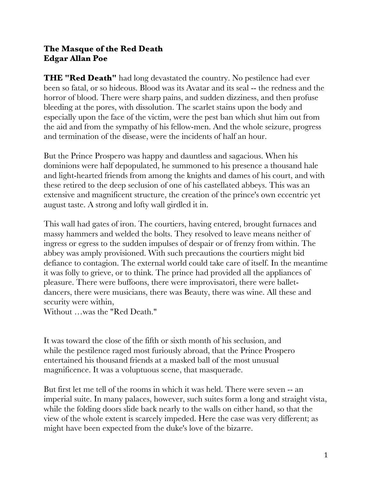## **The Masque of the Red Death Edgar Allan Poe**

**THE "Red Death"** had long devastated the country. No pestilence had ever been so fatal, or so hideous. Blood was its Avatar and its seal -- the redness and the horror of blood. There were sharp pains, and sudden dizziness, and then profuse bleeding at the pores, with dissolution. The scarlet stains upon the body and especially upon the face of the victim, were the pest ban which shut him out from the aid and from the sympathy of his fellow-men. And the whole seizure, progress and termination of the disease, were the incidents of half an hour.

But the Prince Prospero was happy and dauntless and sagacious. When his dominions were half depopulated, he summoned to his presence a thousand hale and light-hearted friends from among the knights and dames of his court, and with these retired to the deep seclusion of one of his castellated abbeys. This was an extensive and magnificent structure, the creation of the prince's own eccentric yet august taste. A strong and lofty wall girdled it in.

This wall had gates of iron. The courtiers, having entered, brought furnaces and massy hammers and welded the bolts. They resolved to leave means neither of ingress or egress to the sudden impulses of despair or of frenzy from within. The abbey was amply provisioned. With such precautions the courtiers might bid defiance to contagion. The external world could take care of itself. In the meantime it was folly to grieve, or to think. The prince had provided all the appliances of pleasure. There were buffoons, there were improvisatori, there were balletdancers, there were musicians, there was Beauty, there was wine. All these and security were within,

Without …was the "Red Death."

It was toward the close of the fifth or sixth month of his seclusion, and while the pestilence raged most furiously abroad, that the Prince Prospero entertained his thousand friends at a masked ball of the most unusual magnificence. It was a voluptuous scene, that masquerade.

But first let me tell of the rooms in which it was held. There were seven -- an imperial suite. In many palaces, however, such suites form a long and straight vista, while the folding doors slide back nearly to the walls on either hand, so that the view of the whole extent is scarcely impeded. Here the case was very different; as might have been expected from the duke's love of the bizarre.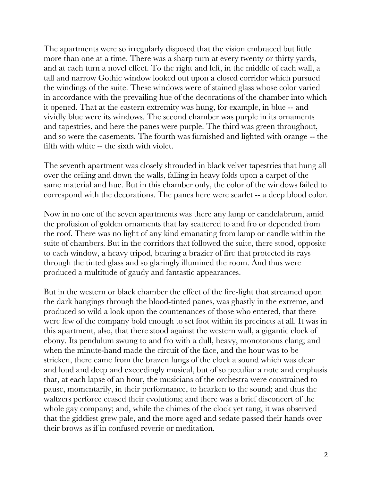The apartments were so irregularly disposed that the vision embraced but little more than one at a time. There was a sharp turn at every twenty or thirty yards, and at each turn a novel effect. To the right and left, in the middle of each wall, a tall and narrow Gothic window looked out upon a closed corridor which pursued the windings of the suite. These windows were of stained glass whose color varied in accordance with the prevailing hue of the decorations of the chamber into which it opened. That at the eastern extremity was hung, for example, in blue -- and vividly blue were its windows. The second chamber was purple in its ornaments and tapestries, and here the panes were purple. The third was green throughout, and so were the casements. The fourth was furnished and lighted with orange -- the fifth with white -- the sixth with violet.

The seventh apartment was closely shrouded in black velvet tapestries that hung all over the ceiling and down the walls, falling in heavy folds upon a carpet of the same material and hue. But in this chamber only, the color of the windows failed to correspond with the decorations. The panes here were scarlet -- a deep blood color.

Now in no one of the seven apartments was there any lamp or candelabrum, amid the profusion of golden ornaments that lay scattered to and fro or depended from the roof. There was no light of any kind emanating from lamp or candle within the suite of chambers. But in the corridors that followed the suite, there stood, opposite to each window, a heavy tripod, bearing a brazier of fire that protected its rays through the tinted glass and so glaringly illumined the room. And thus were produced a multitude of gaudy and fantastic appearances.

But in the western or black chamber the effect of the fire-light that streamed upon the dark hangings through the blood-tinted panes, was ghastly in the extreme, and produced so wild a look upon the countenances of those who entered, that there were few of the company bold enough to set foot within its precincts at all. It was in this apartment, also, that there stood against the western wall, a gigantic clock of ebony. Its pendulum swung to and fro with a dull, heavy, monotonous clang; and when the minute-hand made the circuit of the face, and the hour was to be stricken, there came from the brazen lungs of the clock a sound which was clear and loud and deep and exceedingly musical, but of so peculiar a note and emphasis that, at each lapse of an hour, the musicians of the orchestra were constrained to pause, momentarily, in their performance, to hearken to the sound; and thus the waltzers perforce ceased their evolutions; and there was a brief disconcert of the whole gay company; and, while the chimes of the clock yet rang, it was observed that the giddiest grew pale, and the more aged and sedate passed their hands over their brows as if in confused reverie or meditation.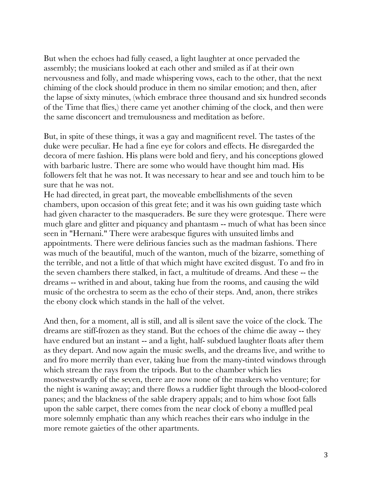But when the echoes had fully ceased, a light laughter at once pervaded the assembly; the musicians looked at each other and smiled as if at their own nervousness and folly, and made whispering vows, each to the other, that the next chiming of the clock should produce in them no similar emotion; and then, after the lapse of sixty minutes, (which embrace three thousand and six hundred seconds of the Time that flies,) there came yet another chiming of the clock, and then were the same disconcert and tremulousness and meditation as before.

But, in spite of these things, it was a gay and magnificent revel. The tastes of the duke were peculiar. He had a fine eye for colors and effects. He disregarded the decora of mere fashion. His plans were bold and fiery, and his conceptions glowed with barbaric lustre. There are some who would have thought him mad. His followers felt that he was not. It was necessary to hear and see and touch him to be sure that he was not.

He had directed, in great part, the moveable embellishments of the seven chambers, upon occasion of this great fete; and it was his own guiding taste which had given character to the masqueraders. Be sure they were grotesque. There were much glare and glitter and piquancy and phantasm -- much of what has been since seen in "Hernani." There were arabesque figures with unsuited limbs and appointments. There were delirious fancies such as the madman fashions. There was much of the beautiful, much of the wanton, much of the bizarre, something of the terrible, and not a little of that which might have excited disgust. To and fro in the seven chambers there stalked, in fact, a multitude of dreams. And these -- the dreams -- writhed in and about, taking hue from the rooms, and causing the wild music of the orchestra to seem as the echo of their steps. And, anon, there strikes the ebony clock which stands in the hall of the velvet.

And then, for a moment, all is still, and all is silent save the voice of the clock. The dreams are stiff-frozen as they stand. But the echoes of the chime die away -- they have endured but an instant -- and a light, half- subdued laughter floats after them as they depart. And now again the music swells, and the dreams live, and writhe to and fro more merrily than ever, taking hue from the many-tinted windows through which stream the rays from the tripods. But to the chamber which lies mostwestwardly of the seven, there are now none of the maskers who venture; for the night is waning away; and there flows a ruddier light through the blood-colored panes; and the blackness of the sable drapery appals; and to him whose foot falls upon the sable carpet, there comes from the near clock of ebony a muffled peal more solemnly emphatic than any which reaches their ears who indulge in the more remote gaieties of the other apartments.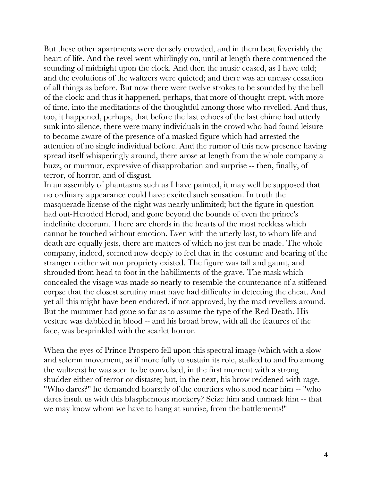But these other apartments were densely crowded, and in them beat feverishly the heart of life. And the revel went whirlingly on, until at length there commenced the sounding of midnight upon the clock. And then the music ceased, as I have told; and the evolutions of the waltzers were quieted; and there was an uneasy cessation of all things as before. But now there were twelve strokes to be sounded by the bell of the clock; and thus it happened, perhaps, that more of thought crept, with more of time, into the meditations of the thoughtful among those who revelled. And thus, too, it happened, perhaps, that before the last echoes of the last chime had utterly sunk into silence, there were many individuals in the crowd who had found leisure to become aware of the presence of a masked figure which had arrested the attention of no single individual before. And the rumor of this new presence having spread itself whisperingly around, there arose at length from the whole company a buzz, or murmur, expressive of disapprobation and surprise -- then, finally, of terror, of horror, and of disgust.

In an assembly of phantasms such as I have painted, it may well be supposed that no ordinary appearance could have excited such sensation. In truth the masquerade license of the night was nearly unlimited; but the figure in question had out-Heroded Herod, and gone beyond the bounds of even the prince's indefinite decorum. There are chords in the hearts of the most reckless which cannot be touched without emotion. Even with the utterly lost, to whom life and death are equally jests, there are matters of which no jest can be made. The whole company, indeed, seemed now deeply to feel that in the costume and bearing of the stranger neither wit nor propriety existed. The figure was tall and gaunt, and shrouded from head to foot in the habiliments of the grave. The mask which concealed the visage was made so nearly to resemble the countenance of a stiffened corpse that the closest scrutiny must have had difficulty in detecting the cheat. And yet all this might have been endured, if not approved, by the mad revellers around. But the mummer had gone so far as to assume the type of the Red Death. His vesture was dabbled in blood -- and his broad brow, with all the features of the face, was besprinkled with the scarlet horror.

When the eyes of Prince Prospero fell upon this spectral image (which with a slow and solemn movement, as if more fully to sustain its role, stalked to and fro among the waltzers) he was seen to be convulsed, in the first moment with a strong shudder either of terror or distaste; but, in the next, his brow reddened with rage. "Who dares?" he demanded hoarsely of the courtiers who stood near him -- "who dares insult us with this blasphemous mockery? Seize him and unmask him -- that we may know whom we have to hang at sunrise, from the battlements!"